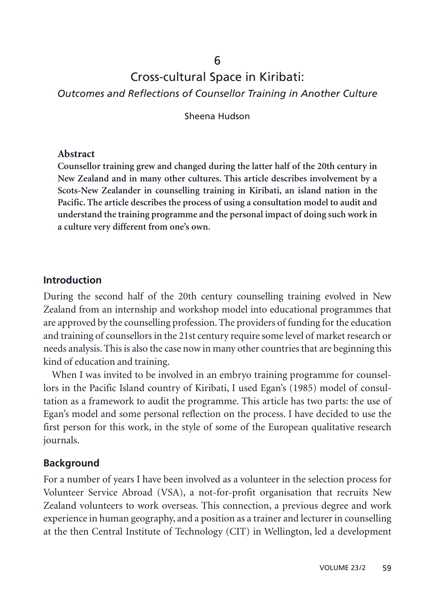# 6

# Cross-cultural Space in Kiribati:

*Outcomes and Reflections of Counsellor Training in Another Culture*

Sheena Hudson

#### **Abstract**

**Counsellor training grew and changed during the latter half of the 20th century in New Zealand and in many other cultures. This article describes involvement by a Scots-New Zealander in counselling training in Kiribati, an island nation in the Pacific. The article describes the process of using a consultation model to audit and understand the training programme and the personal impact of doing such work in a culture very different from one's own.**

#### **Introduction**

During the second half of the 20th century counselling training evolved in New Zealand from an internship and workshop model into educational programmes that are approved by the counselling profession. The providers of funding for the education and training of counsellors in the 21st century require some level of market research or needs analysis. This is also the case now in many other countries that are beginning this kind of education and training.

When I was invited to be involved in an embryo training programme for counsellors in the Pacific Island country of Kiribati, I used Egan's (1985) model of consultation as a framework to audit the programme. This article has two parts: the use of Egan's model and some personal reflection on the process. I have decided to use the first person for this work, in the style of some of the European qualitative research journals.

#### **Background**

For a number of years I have been involved as a volunteer in the selection process for Volunteer Service Abroad (VSA), a not-for-profit organisation that recruits New Zealand volunteers to work overseas. This connection, a previous degree and work experience in human geography, and a position as a trainer and lecturer in counselling at the then Central Institute of Technology (CIT) in Wellington, led a development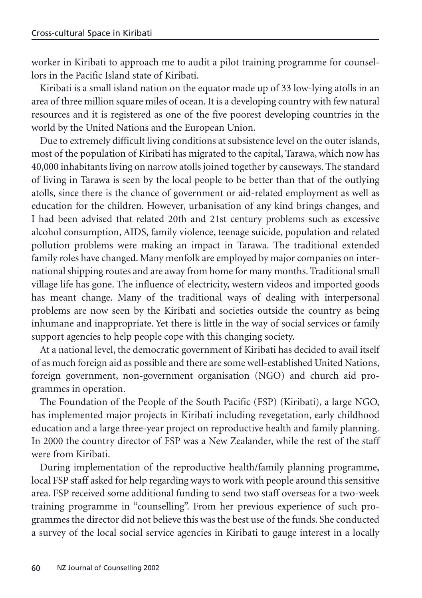worker in Kiribati to approach me to audit a pilot training programme for counsellors in the Pacific Island state of Kiribati.

Kiribati is a small island nation on the equator made up of 33 low-lying atolls in an area of three million square miles of ocean. It is a developing country with few natural resources and it is registered as one of the five poorest developing countries in the world by the United Nations and the European Union.

Due to extremely difficult living conditions at subsistence level on the outer islands, most of the population of Kiribati has migrated to the capital, Tarawa, which now has 40,000 inhabitants living on narrow atolls joined together by causeways. The standard of living in Tarawa is seen by the local people to be better than that of the outlying atolls, since there is the chance of government or aid-related employment as well as education for the children. However, urbanisation of any kind brings changes, and I had been advised that related 20th and 21st century problems such as excessive alcohol consumption, AIDS, family violence, teenage suicide, population and related pollution problems were making an impact in Tarawa. The traditional extended family roles have changed. Many menfolk are employed by major companies on international shipping routes and are away from home for many months. Traditional small village life has gone. The influence of electricity, western videos and imported goods has meant change. Many of the traditional ways of dealing with interpersonal problems are now seen by the Kiribati and societies outside the country as being inhumane and inappropriate. Yet there is little in the way of social services or family support agencies to help people cope with this changing society.

At a national level, the democratic government of Kiribati has decided to avail itself of as much foreign aid as possible and there are some well-established United Nations, foreign government, non-government organisation (NGO) and church aid programmes in operation.

The Foundation of the People of the South Pacific (FSP) (Kiribati), a large NGO, has implemented major projects in Kiribati including revegetation, early childhood education and a large three-year project on reproductive health and family planning. In 2000 the country director of FSP was a New Zealander, while the rest of the staff were from Kiribati.

During implementation of the reproductive health/family planning programme, local FSP staff asked for help regarding ways to work with people around this sensitive area. FSP received some additional funding to send two staff overseas for a two-week training programme in "counselling". From her previous experience of such programmes the director did not believe this was the best use of the funds. She conducted a survey of the local social service agencies in Kiribati to gauge interest in a locally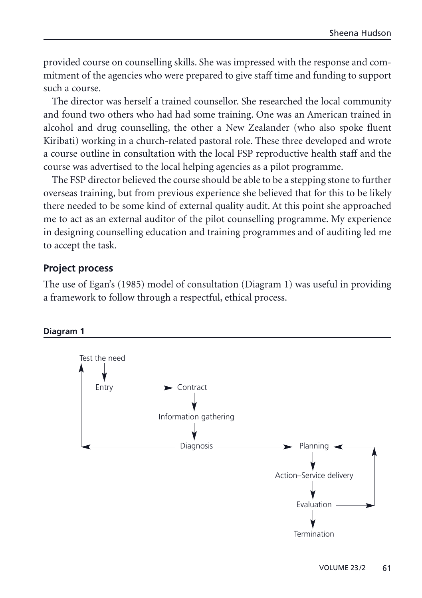provided course on counselling skills. She was impressed with the response and commitment of the agencies who were prepared to give staff time and funding to support such a course.

The director was herself a trained counsellor. She researched the local community and found two others who had had some training. One was an American trained in alcohol and drug counselling, the other a New Zealander (who also spoke fluent Kiribati) working in a church-related pastoral role. These three developed and wrote a course outline in consultation with the local FSP reproductive health staff and the course was advertised to the local helping agencies as a pilot programme.

The FSP director believed the course should be able to be a stepping stone to further overseas training, but from previous experience she believed that for this to be likely there needed to be some kind of external quality audit. At this point she approached me to act as an external auditor of the pilot counselling programme. My experience in designing counselling education and training programmes and of auditing led me to accept the task.

#### **Project process**

The use of Egan's (1985) model of consultation (Diagram 1) was useful in providing a framework to follow through a respectful, ethical process.

#### **Diagram 1**

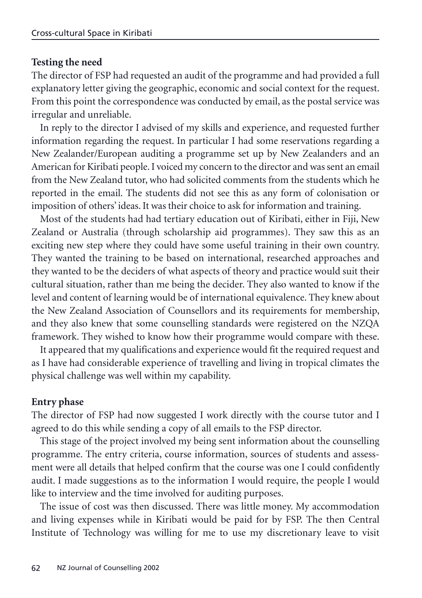#### **Testing the need**

The director of FSP had requested an audit of the programme and had provided a full explanatory letter giving the geographic, economic and social context for the request. From this point the correspondence was conducted by email, as the postal service was irregular and unreliable.

In reply to the director I advised of my skills and experience, and requested further information regarding the request. In particular I had some reservations regarding a New Zealander/European auditing a programme set up by New Zealanders and an American for Kiribati people. I voiced my concern to the director and was sent an email from the New Zealand tutor, who had solicited comments from the students which he reported in the email. The students did not see this as any form of colonisation or imposition of others' ideas. It was their choice to ask for information and training.

Most of the students had had tertiary education out of Kiribati, either in Fiji, New Zealand or Australia (through scholarship aid programmes). They saw this as an exciting new step where they could have some useful training in their own country. They wanted the training to be based on international, researched approaches and they wanted to be the deciders of what aspects of theory and practice would suit their cultural situation, rather than me being the decider. They also wanted to know if the level and content of learning would be of international equivalence. They knew about the New Zealand Association of Counsellors and its requirements for membership, and they also knew that some counselling standards were registered on the NZQA framework. They wished to know how their programme would compare with these.

It appeared that my qualifications and experience would fit the required request and as I have had considerable experience of travelling and living in tropical climates the physical challenge was well within my capability.

#### **Entry phase**

The director of FSP had now suggested I work directly with the course tutor and I agreed to do this while sending a copy of all emails to the FSP director.

This stage of the project involved my being sent information about the counselling programme. The entry criteria, course information, sources of students and assessment were all details that helped confirm that the course was one I could confidently audit. I made suggestions as to the information I would require, the people I would like to interview and the time involved for auditing purposes.

The issue of cost was then discussed. There was little money. My accommodation and living expenses while in Kiribati would be paid for by FSP. The then Central Institute of Technology was willing for me to use my discretionary leave to visit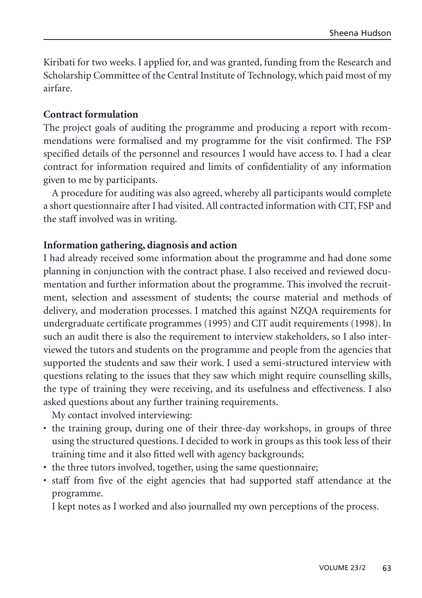<span id="page-4-0"></span>Kiribati for two weeks. I applied for, and was granted, funding from the Research and Scholarship Committee of the Central Institute of Technology, which paid most of my airfare.

#### **Contract formulation**

The project goals of auditing the programme and producing a report with recommendations were formalised and my programme for the visit confirmed. The FSP specified details of the personnel and resources I would have access to. I had a clear contract for information required and limits of confidentiality of any information given to me by participants.

A procedure for auditing was also agreed, whereby all participants would complete a short questionnaire after I had visited. All contracted information with CIT, FSP and the staff involved was in writing.

#### **Information gathering, diagnosis and action**

I had already received some information about the programme and had done some planning in conjunction with the contract phase. I also received and reviewed documentation and further information about the programme. This involved the recruitment, selection and assessment of students; the course material and methods of delivery, and moderation processes. I matched this against NZQA requirements for undergraduate certificate programmes (1995) and CIT audit requirements (1998). In such an audit there is also the requirement to interview stakeholders, so I also interviewed the tutors and students on the programme and people from the agencies that supported the students and saw their work. I used a semi-structured interview with questions relating to the issues that they saw which might require counselling skills, the type of training they were receiving, and its usefulness and effectiveness. I also asked questions about any further training requirements.

My contact involved interviewing:

- the training group, during one of their three-day workshops, in groups of three using the structured questions. I decided to work in groups as this took less of their training time and it also fitted well with agency backgrounds;
- the three tutors involved, together, using the same questionnaire;
- staff from five of the eight agencies that had supported staff attendance at the programme.

I kept notes as I worked and also journalled my own perceptions of the process.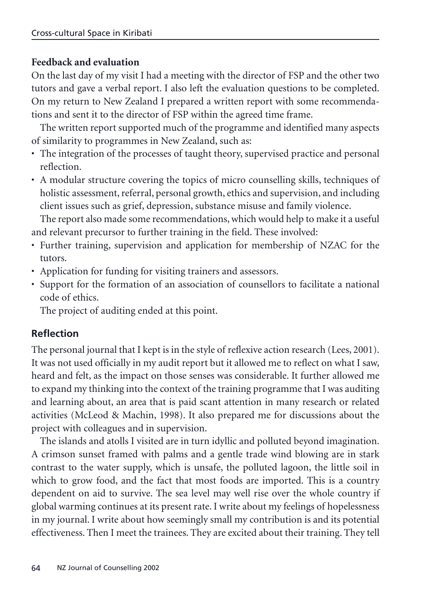### **Feedback and evaluation**

On the last day of my visit I had a meeting with the director of FSP and the other two tutors and gave a verbal report. I also left the evaluation questions to be completed. On my return to New Zealand I prepared a written report with some recommendations and sent it to the director of FSP within the agreed time frame.

The written report supported much of the programme and identified many aspects of similarity to programmes in New Zealand, such as:

- The integration of the processes of taught theory, supervised practice and personal reflection.
- A modular structure covering the topics of micro counselling skills, techniques of holistic assessment, referral, personal growth, ethics and supervision, and including client issues such as grief, depression, substance misuse and family violence.

The report also made some recommendations, which would help to make it a useful and relevant precursor to further training in the field. These involved:

- Further training, supervision and application for membership of NZAC for the tutors.
- Application for funding for visiting trainers and assessors.
- Support for the formation of an association of counsellors to facilitate a national code of ethics.

The project of auditing ended at this point.

# **Reflection**

The personal journal that I kept is in the style of reflexive action research (Lees, 2001). It was not used officially in my audit report but it allowed me to reflect on what I saw, heard and felt, as the impact on those senses was considerable. It further allowed me to expand my thinking into the context of the training programme that I was auditing and learning about, an area that is paid scant attention in many research or related activities (McLeod & Machin, 1998). It also prepared me for discussions about the project with colleagues and in supervision.

The islands and atolls I visited are in turn idyllic and polluted beyond imagination. A crimson sunset framed with palms and a gentle trade wind blowing are in stark contrast to the water supply, which is unsafe, the polluted lagoon, the little soil in which to grow food, and the fact that most foods are imported. This is a country dependent on aid to survive. The sea level may well rise over the whole country if global warming continues at its present rate. I write about my feelings of hopelessness in my journal. I write about how seemingly small my contribution is and its potential effectiveness. Then I meet the trainees. They are excited about their training. They tell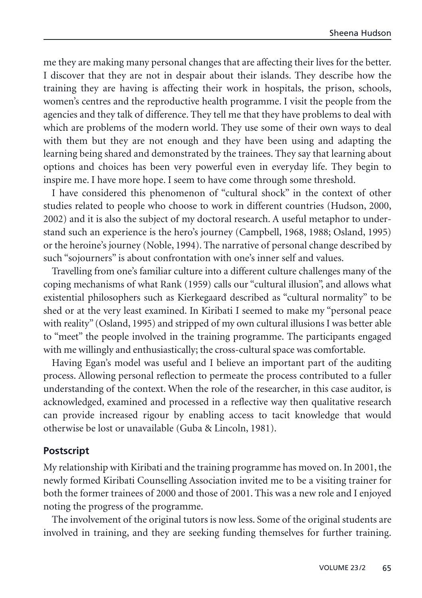me they are making many personal changes that are affecting their lives for the better. I discover that they are not in despair about their islands. They describe how the training they are having is affecting their work in hospitals, the prison, schools, women's centres and the reproductive health programme. I visit the people from the agencies and they talk of difference. They tell me that they have problems to deal with which are problems of the modern world. They use some of their own ways to deal with them but they are not enough and they have been using and adapting the learning being shared and demonstrated by the trainees. They say that learning about options and choices has been very powerful even in everyday life. They begin to inspire me. I have more hope. I seem to have come through some threshold.

I have considered this phenomenon of "cultural shock" in the context of other studies related to people who choose to work in different countries (Hudson, 2000, 2002) and it is also the subject of my doctoral research. A useful metaphor to understand such an experience is the hero's journey (Campbell, 1968, 1988; Osland, 1995) or the heroine's journey (Noble, 1994). The narrative of personal change described by such "sojourners" is about confrontation with one's inner self and values.

Travelling from one's familiar culture into a different culture challenges many of the coping mechanisms of what Rank (1959) calls our "cultural illusion", and allows what existential philosophers such as Kierkegaard described as "cultural normality" to be shed or at the very least examined. In Kiribati I seemed to make my "personal peace with reality" (Osland, 1995) and stripped of my own cultural illusions I was better able to "meet" the people involved in the training programme. The participants engaged with me willingly and enthusiastically; the cross-cultural space was comfortable.

Having Egan's model was useful and I believe an important part of the auditing process. Allowing personal reflection to permeate the process contributed to a fuller understanding of the context. When the role of the researcher, in this case auditor, is acknowledged, examined and processed in a reflective way then qualitative research can provide increased rigour by enabling access to tacit knowledge that would otherwise be lost or unavailable (Guba & Lincoln, 1981).

## **Postscript**

My relationship with Kiribati and the training programme has moved on. In 2001, the newly formed Kiribati Counselling Association invited me to be a visiting trainer for both the former trainees of 2000 and those of 2001. This was a new role and I enjoyed noting the progress of the programme.

The involvement of the original tutors is now less. Some of the original students are involved in training, and they are seeking funding themselves for further training.